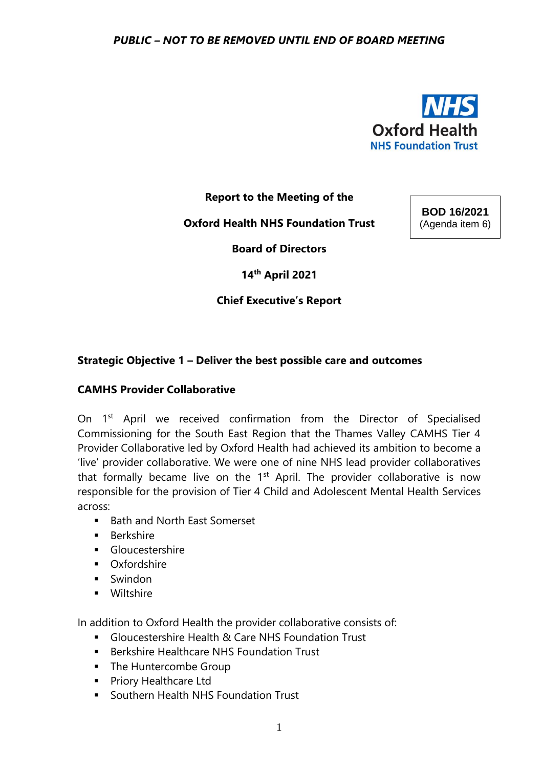

**Report to the Meeting of the** 

**Oxford Health NHS Foundation Trust**

**BOD 16/2021** (Agenda item 6)

**Board of Directors** 

**14th April 2021**

# **Chief Executive's Report**

# **Strategic Objective 1 – Deliver the best possible care and outcomes**

### **CAMHS Provider Collaborative**

On 1<sup>st</sup> April we received confirmation from the Director of Specialised Commissioning for the South East Region that the Thames Valley CAMHS Tier 4 Provider Collaborative led by Oxford Health had achieved its ambition to become a 'live' provider collaborative. We were one of nine NHS lead provider collaboratives that formally became live on the  $1<sup>st</sup>$  April. The provider collaborative is now responsible for the provision of Tier 4 Child and Adolescent Mental Health Services across:

- Bath and North East Somerset
- Berkshire
- Gloucestershire
- Oxfordshire
- Swindon
- Wiltshire

In addition to Oxford Health the provider collaborative consists of:

- Gloucestershire Health & Care NHS Foundation Trust
- Berkshire Healthcare NHS Foundation Trust
- The Huntercombe Group
- Priory Healthcare Ltd
- Southern Health NHS Foundation Trust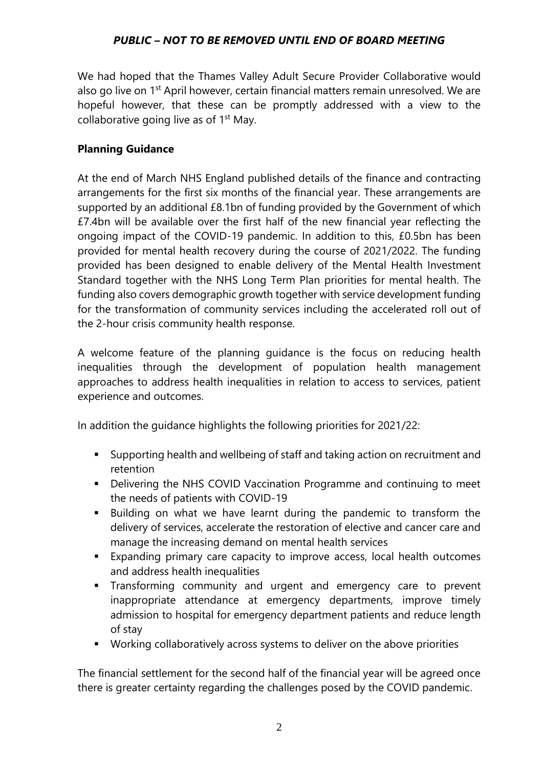We had hoped that the Thames Valley Adult Secure Provider Collaborative would also go live on 1<sup>st</sup> April however, certain financial matters remain unresolved. We are hopeful however, that these can be promptly addressed with a view to the collaborative going live as of  $1<sup>st</sup>$  May.

### **Planning Guidance**

At the end of March NHS England published details of the finance and contracting arrangements for the first six months of the financial year. These arrangements are supported by an additional £8.1bn of funding provided by the Government of which £7.4bn will be available over the first half of the new financial year reflecting the ongoing impact of the COVID-19 pandemic. In addition to this, £0.5bn has been provided for mental health recovery during the course of 2021/2022. The funding provided has been designed to enable delivery of the Mental Health Investment Standard together with the NHS Long Term Plan priorities for mental health. The funding also covers demographic growth together with service development funding for the transformation of community services including the accelerated roll out of the 2-hour crisis community health response.

A welcome feature of the planning guidance is the focus on reducing health inequalities through the development of population health management approaches to address health inequalities in relation to access to services, patient experience and outcomes.

In addition the guidance highlights the following priorities for 2021/22:

- Supporting health and wellbeing of staff and taking action on recruitment and retention
- Delivering the NHS COVID Vaccination Programme and continuing to meet the needs of patients with COVID-19
- Building on what we have learnt during the pandemic to transform the delivery of services, accelerate the restoration of elective and cancer care and manage the increasing demand on mental health services
- Expanding primary care capacity to improve access, local health outcomes and address health inequalities
- **EXT** Transforming community and urgent and emergency care to prevent inappropriate attendance at emergency departments, improve timely admission to hospital for emergency department patients and reduce length of stay
- Working collaboratively across systems to deliver on the above priorities

The financial settlement for the second half of the financial year will be agreed once there is greater certainty regarding the challenges posed by the COVID pandemic.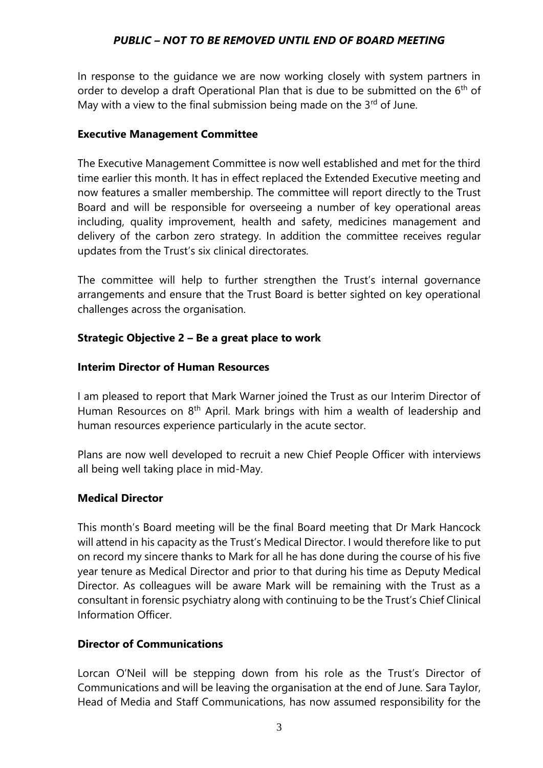In response to the guidance we are now working closely with system partners in order to develop a draft Operational Plan that is due to be submitted on the  $6<sup>th</sup>$  of May with a view to the final submission being made on the  $3<sup>rd</sup>$  of June.

### **Executive Management Committee**

The Executive Management Committee is now well established and met for the third time earlier this month. It has in effect replaced the Extended Executive meeting and now features a smaller membership. The committee will report directly to the Trust Board and will be responsible for overseeing a number of key operational areas including, quality improvement, health and safety, medicines management and delivery of the carbon zero strategy. In addition the committee receives regular updates from the Trust's six clinical directorates.

The committee will help to further strengthen the Trust's internal governance arrangements and ensure that the Trust Board is better sighted on key operational challenges across the organisation.

# **Strategic Objective 2 – Be a great place to work**

# **Interim Director of Human Resources**

I am pleased to report that Mark Warner joined the Trust as our Interim Director of Human Resources on 8<sup>th</sup> April. Mark brings with him a wealth of leadership and human resources experience particularly in the acute sector.

Plans are now well developed to recruit a new Chief People Officer with interviews all being well taking place in mid-May.

# **Medical Director**

This month's Board meeting will be the final Board meeting that Dr Mark Hancock will attend in his capacity as the Trust's Medical Director. I would therefore like to put on record my sincere thanks to Mark for all he has done during the course of his five year tenure as Medical Director and prior to that during his time as Deputy Medical Director. As colleagues will be aware Mark will be remaining with the Trust as a consultant in forensic psychiatry along with continuing to be the Trust's Chief Clinical Information Officer.

# **Director of Communications**

Lorcan O'Neil will be stepping down from his role as the Trust's Director of Communications and will be leaving the organisation at the end of June. Sara Taylor, Head of Media and Staff Communications, has now assumed responsibility for the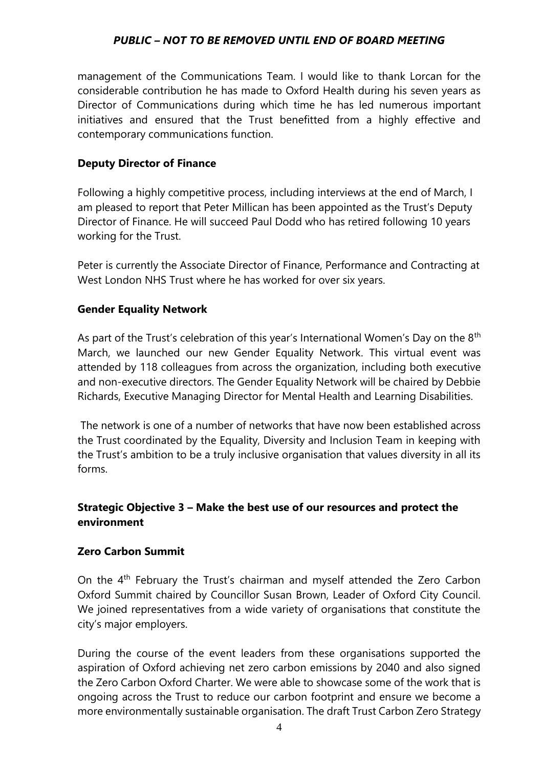management of the Communications Team. I would like to thank Lorcan for the considerable contribution he has made to Oxford Health during his seven years as Director of Communications during which time he has led numerous important initiatives and ensured that the Trust benefitted from a highly effective and contemporary communications function.

## **Deputy Director of Finance**

Following a highly competitive process, including interviews at the end of March, I am pleased to report that Peter Millican has been appointed as the Trust's Deputy Director of Finance. He will succeed Paul Dodd who has retired following 10 years working for the Trust.

Peter is currently the Associate Director of Finance, Performance and Contracting at West London NHS Trust where he has worked for over six years.

### **Gender Equality Network**

As part of the Trust's celebration of this year's International Women's Day on the  $8<sup>th</sup>$ March, we launched our new Gender Equality Network. This virtual event was attended by 118 colleagues from across the organization, including both executive and non-executive directors. The Gender Equality Network will be chaired by Debbie Richards, Executive Managing Director for Mental Health and Learning Disabilities.

The network is one of a number of networks that have now been established across the Trust coordinated by the Equality, Diversity and Inclusion Team in keeping with the Trust's ambition to be a truly inclusive organisation that values diversity in all its forms.

# **Strategic Objective 3 – Make the best use of our resources and protect the environment**

### **Zero Carbon Summit**

On the 4th February the Trust's chairman and myself attended the Zero Carbon Oxford Summit chaired by Councillor Susan Brown, Leader of Oxford City Council. We joined representatives from a wide variety of organisations that constitute the city's major employers.

During the course of the event leaders from these organisations supported the aspiration of Oxford achieving net zero carbon emissions by 2040 and also signed the Zero Carbon Oxford Charter. We were able to showcase some of the work that is ongoing across the Trust to reduce our carbon footprint and ensure we become a more environmentally sustainable organisation. The draft Trust Carbon Zero Strategy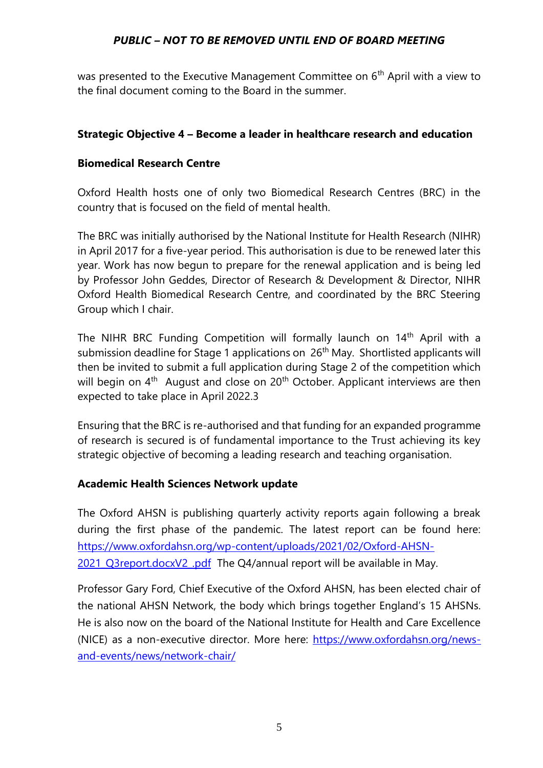was presented to the Executive Management Committee on 6<sup>th</sup> April with a view to the final document coming to the Board in the summer.

# **Strategic Objective 4 – Become a leader in healthcare research and education**

## **Biomedical Research Centre**

Oxford Health hosts one of only two Biomedical Research Centres (BRC) in the country that is focused on the field of mental health.

The BRC was initially authorised by the National Institute for Health Research (NIHR) in April 2017 for a five-year period. This authorisation is due to be renewed later this year. Work has now begun to prepare for the renewal application and is being led by Professor John Geddes, Director of Research & Development & Director, NIHR Oxford Health Biomedical Research Centre, and coordinated by the BRC Steering Group which I chair.

The NIHR BRC Funding Competition will formally launch on 14<sup>th</sup> April with a submission deadline for Stage 1 applications on 26<sup>th</sup> May. Shortlisted applicants will then be invited to submit a full application during Stage 2 of the competition which will begin on 4<sup>th</sup> August and close on 20<sup>th</sup> October. Applicant interviews are then expected to take place in April 2022.3

Ensuring that the BRC is re-authorised and that funding for an expanded programme of research is secured is of fundamental importance to the Trust achieving its key strategic objective of becoming a leading research and teaching organisation.

### **Academic Health Sciences Network update**

The Oxford AHSN is publishing quarterly activity reports again following a break during the first phase of the pandemic. The latest report can be found here: [https://www.oxfordahsn.org/wp-content/uploads/2021/02/Oxford-AHSN-](https://protect-eu.mimecast.com/s/4yndC46XoTYQ8MxTOLJdR?domain=oxfordahsn.org)[2021\\_Q3report.docxV2\\_.pdf](https://protect-eu.mimecast.com/s/4yndC46XoTYQ8MxTOLJdR?domain=oxfordahsn.org) The Q4/annual report will be available in May.

Professor Gary Ford, Chief Executive of the Oxford AHSN, has been elected chair of the national AHSN Network, the body which brings together England's 15 AHSNs. He is also now on the board of the National Institute for Health and Care Excellence (NICE) as a non-executive director. More here: [https://www.oxfordahsn.org/news](https://protect-eu.mimecast.com/s/qTyxC57YpSgQl51IO-OVe?domain=oxfordahsn.org/)[and-events/news/network-chair/](https://protect-eu.mimecast.com/s/qTyxC57YpSgQl51IO-OVe?domain=oxfordahsn.org/)